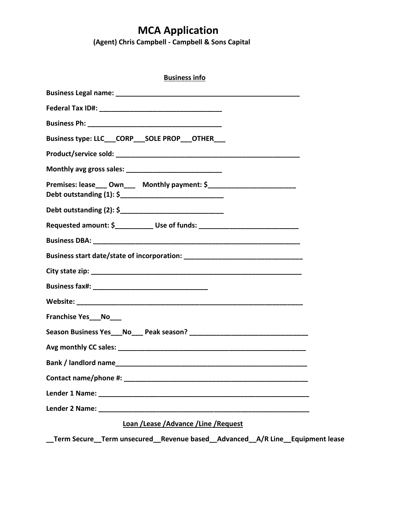## **MCA Application**

 **(Agent) Chris Campbell - Campbell & Sons Capital**

| <b>Business info</b>                                                              |
|-----------------------------------------------------------------------------------|
|                                                                                   |
|                                                                                   |
|                                                                                   |
| Business type: LLC_CORP_SOLE PROP_OTHER___                                        |
|                                                                                   |
|                                                                                   |
|                                                                                   |
|                                                                                   |
| Requested amount: \$_____________ Use of funds: _________________________________ |
|                                                                                   |
|                                                                                   |
|                                                                                   |
|                                                                                   |
|                                                                                   |
| Franchise Yes___No___                                                             |
|                                                                                   |
|                                                                                   |
| <b>Bank / landlord name</b>                                                       |
|                                                                                   |
|                                                                                   |
|                                                                                   |
| Loan /Lease /Advance /Line /Request                                               |

**\_\_Term Secure\_\_Term unsecured\_\_Revenue based\_\_Advanced\_\_A/R Line\_\_Equipment lease**